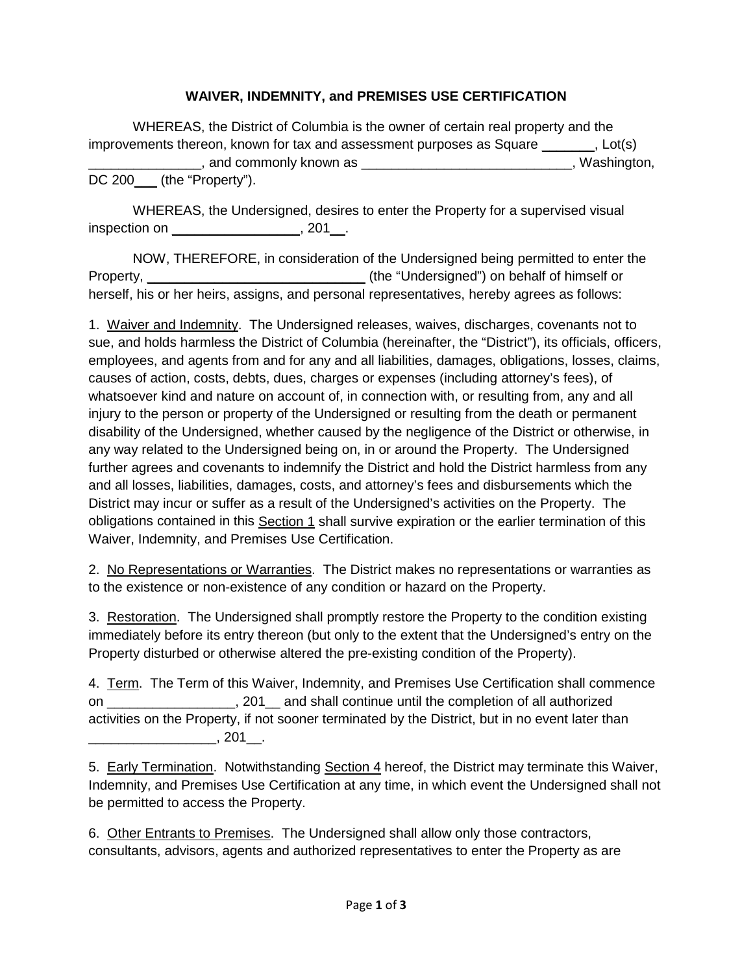## **WAIVER, INDEMNITY, and PREMISES USE CERTIFICATION**

WHEREAS, the District of Columbia is the owner of certain real property and the improvements thereon, known for tax and assessment purposes as Square  $\qquad \qquad$ , Lot(s) \_\_\_\_\_\_\_\_\_\_\_\_\_\_\_, and commonly known as \_\_\_\_\_\_\_\_\_\_\_\_\_\_\_\_\_\_\_\_\_\_\_\_\_\_\_\_, Washington, DC 200\_\_\_ (the "Property").

WHEREAS, the Undersigned, desires to enter the Property for a supervised visual inspection on \_\_\_\_\_\_\_\_\_\_\_\_\_\_\_\_\_, 201\_\_ .

NOW, THEREFORE, in consideration of the Undersigned being permitted to enter the Property, \_\_\_\_\_\_\_\_\_\_\_\_\_\_\_\_\_\_\_\_\_\_\_\_\_\_\_\_\_ (the "Undersigned") on behalf of himself or herself, his or her heirs, assigns, and personal representatives, hereby agrees as follows:

1. Waiver and Indemnity. The Undersigned releases, waives, discharges, covenants not to sue, and holds harmless the District of Columbia (hereinafter, the "District"), its officials, officers, employees, and agents from and for any and all liabilities, damages, obligations, losses, claims, causes of action, costs, debts, dues, charges or expenses (including attorney's fees), of whatsoever kind and nature on account of, in connection with, or resulting from, any and all injury to the person or property of the Undersigned or resulting from the death or permanent disability of the Undersigned, whether caused by the negligence of the District or otherwise, in any way related to the Undersigned being on, in or around the Property. The Undersigned further agrees and covenants to indemnify the District and hold the District harmless from any and all losses, liabilities, damages, costs, and attorney's fees and disbursements which the District may incur or suffer as a result of the Undersigned's activities on the Property. The obligations contained in this <u>Section 1</u> shall survive expiration or the earlier termination of this Waiver, Indemnity, and Premises Use Certification.

2. No Representations or Warranties. The District makes no representations or warranties as to the existence or non-existence of any condition or hazard on the Property.

3. Restoration. The Undersigned shall promptly restore the Property to the condition existing immediately before its entry thereon (but only to the extent that the Undersigned's entry on the Property disturbed or otherwise altered the pre-existing condition of the Property).

4. Term. The Term of this Waiver, Indemnity, and Premises Use Certification shall commence on \_\_\_\_\_\_\_\_\_\_\_\_\_\_\_\_\_, 201\_\_ and shall continue until the completion of all authorized activities on the Property, if not sooner terminated by the District, but in no event later than \_\_\_\_\_\_\_\_\_\_\_\_\_\_\_\_\_, 201\_\_ .

5. Early Termination. Notwithstanding Section 4 hereof, the District may terminate this Waiver, Indemnity, and Premises Use Certification at any time, in which event the Undersigned shall not be permitted to access the Property.

6. Other Entrants to Premises. The Undersigned shall allow only those contractors, consultants, advisors, agents and authorized representatives to enter the Property as are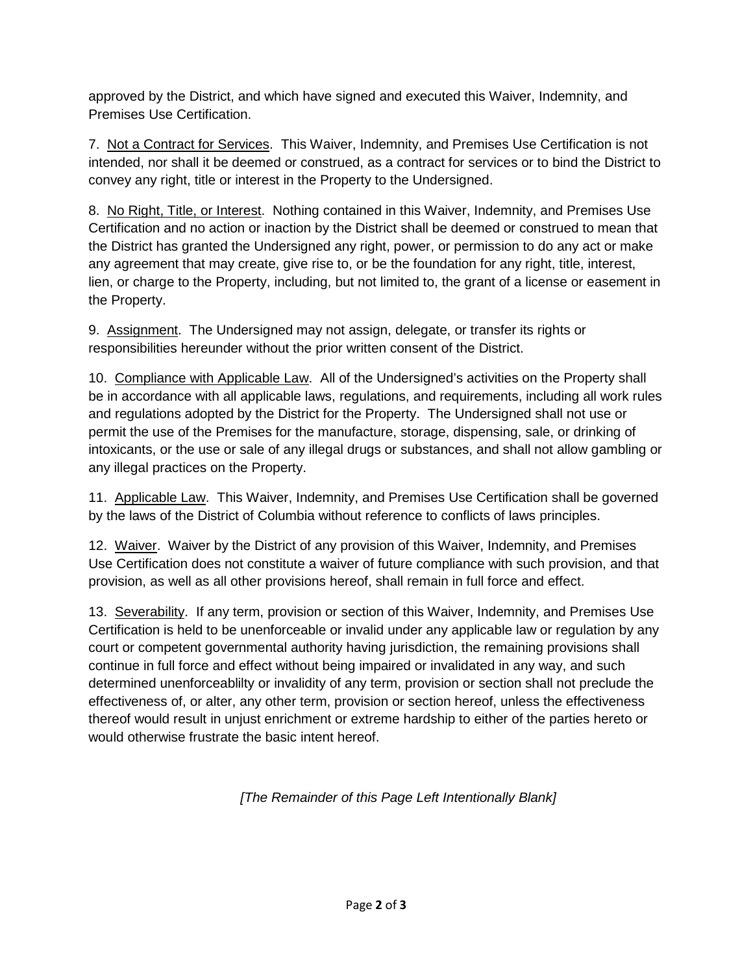approved by the District, and which have signed and executed this Waiver, Indemnity, and Premises Use Certification.

7. Not a Contract for Services. This Waiver, Indemnity, and Premises Use Certification is not intended, nor shall it be deemed or construed, as a contract for services or to bind the District to convey any right, title or interest in the Property to the Undersigned.

8. No Right, Title, or Interest. Nothing contained in this Waiver, Indemnity, and Premises Use Certification and no action or inaction by the District shall be deemed or construed to mean that the District has granted the Undersigned any right, power, or permission to do any act or make any agreement that may create, give rise to, or be the foundation for any right, title, interest, lien, or charge to the Property, including, but not limited to, the grant of a license or easement in the Property.

9. Assignment. The Undersigned may not assign, delegate, or transfer its rights or responsibilities hereunder without the prior written consent of the District.

10. Compliance with Applicable Law. All of the Undersigned's activities on the Property shall be in accordance with all applicable laws, regulations, and requirements, including all work rules and regulations adopted by the District for the Property. The Undersigned shall not use or permit the use of the Premises for the manufacture, storage, dispensing, sale, or drinking of intoxicants, or the use or sale of any illegal drugs or substances, and shall not allow gambling or any illegal practices on the Property.

11. Applicable Law. This Waiver, Indemnity, and Premises Use Certification shall be governed by the laws of the District of Columbia without reference to conflicts of laws principles.

12. Waiver. Waiver by the District of any provision of this Waiver, Indemnity, and Premises Use Certification does not constitute a waiver of future compliance with such provision, and that provision, as well as all other provisions hereof, shall remain in full force and effect.

13. Severability. If any term, provision or section of this Waiver, Indemnity, and Premises Use Certification is held to be unenforceable or invalid under any applicable law or regulation by any court or competent governmental authority having jurisdiction, the remaining provisions shall continue in full force and effect without being impaired or invalidated in any way, and such determined unenforceablilty or invalidity of any term, provision or section shall not preclude the effectiveness of, or alter, any other term, provision or section hereof, unless the effectiveness thereof would result in unjust enrichment or extreme hardship to either of the parties hereto or would otherwise frustrate the basic intent hereof.

*[The Remainder of this Page Left Intentionally Blank]*